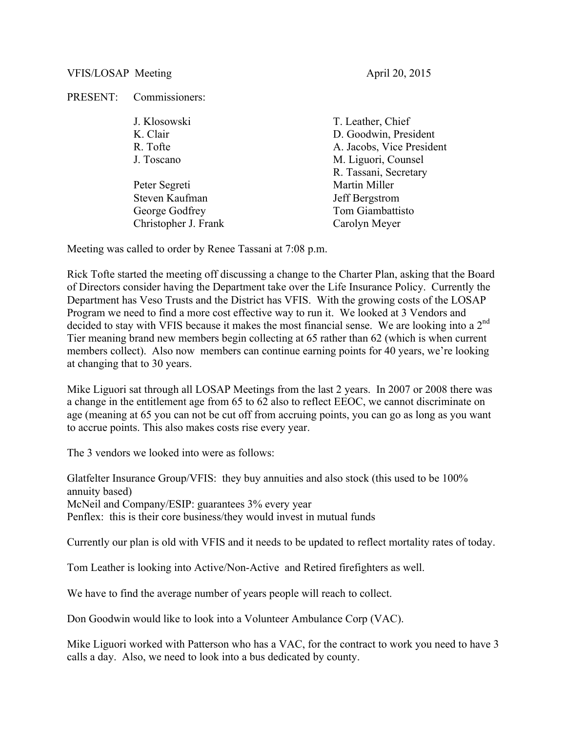## VFIS/LOSAP Meeting and April 20, 2015

PRESENT: Commissioners:

| J. Klosowski         | T. Leather, Chief         |
|----------------------|---------------------------|
| K. Clair             | D. Goodwin, President     |
| R. Tofte             | A. Jacobs, Vice President |
| J. Toscano           | M. Liguori, Counsel       |
|                      | R. Tassani, Secretary     |
| Peter Segreti        | Martin Miller             |
| Steven Kaufman       | Jeff Bergstrom            |
| George Godfrey       | Tom Giambattisto          |
| Christopher J. Frank | Carolyn Meyer             |
|                      |                           |

Meeting was called to order by Renee Tassani at 7:08 p.m.

Rick Tofte started the meeting off discussing a change to the Charter Plan, asking that the Board of Directors consider having the Department take over the Life Insurance Policy. Currently the Department has Veso Trusts and the District has VFIS. With the growing costs of the LOSAP Program we need to find a more cost effective way to run it. We looked at 3 Vendors and decided to stay with VFIS because it makes the most financial sense. We are looking into a  $2<sup>nd</sup>$ Tier meaning brand new members begin collecting at 65 rather than 62 (which is when current members collect). Also now members can continue earning points for 40 years, we're looking at changing that to 30 years.

Mike Liguori sat through all LOSAP Meetings from the last 2 years. In 2007 or 2008 there was a change in the entitlement age from 65 to 62 also to reflect EEOC, we cannot discriminate on age (meaning at 65 you can not be cut off from accruing points, you can go as long as you want to accrue points. This also makes costs rise every year.

The 3 vendors we looked into were as follows:

Glatfelter Insurance Group/VFIS: they buy annuities and also stock (this used to be 100% annuity based) McNeil and Company/ESIP: guarantees 3% every year Penflex: this is their core business/they would invest in mutual funds

Currently our plan is old with VFIS and it needs to be updated to reflect mortality rates of today.

Tom Leather is looking into Active/Non-Active and Retired firefighters as well.

We have to find the average number of years people will reach to collect.

Don Goodwin would like to look into a Volunteer Ambulance Corp (VAC).

Mike Liguori worked with Patterson who has a VAC, for the contract to work you need to have 3 calls a day. Also, we need to look into a bus dedicated by county.